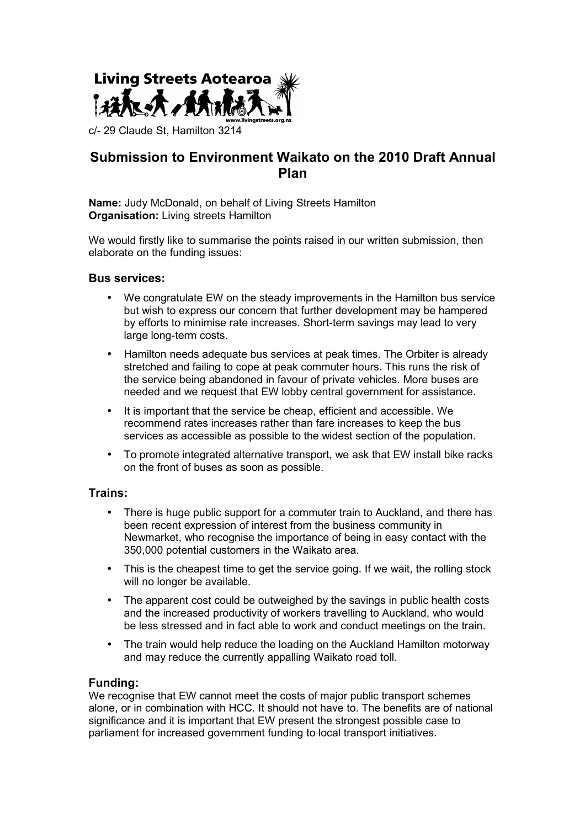

c/- 29 Claude St, Hamilton 3214

# **Submission to Environment Waikato on the 2010 Draft Annual Plan**

**Name:** Judy McDonald, on behalf of Living Streets Hamilton **Organisation:** Living streets Hamilton

We would firstly like to summarise the points raised in our written submission, then elaborate on the funding issues:

### **Bus services:**

- We congratulate EW on the steady improvements in the Hamilton bus service but wish to express our concern that further development may be hampered by efforts to minimise rate increases. Short-term savings may lead to very large long-term costs.
- Hamilton needs adequate bus services at peak times. The Orbiter is already stretched and failing to cope at peak commuter hours. This runs the risk of the service being abandoned in favour of private vehicles. More buses are needed and we request that EW lobby central government for assistance.
- It is important that the service be cheap, efficient and accessible. We recommend rates increases rather than fare increases to keep the bus services as accessible as possible to the widest section of the population.
- To promote integrated alternative transport, we ask that EW install bike racks on the front of buses as soon as possible.

## **Trains:**

- There is huge public support for a commuter train to Auckland, and there has been recent expression of interest from the business community in Newmarket, who recognise the importance of being in easy contact with the 350,000 potential customers in the Waikato area.
- This is the cheapest time to get the service going. If we wait, the rolling stock will no longer be available.
- The apparent cost could be outweighed by the savings in public health costs and the increased productivity of workers travelling to Auckland, who would be less stressed and in fact able to work and conduct meetings on the train.
- The train would help reduce the loading on the Auckland Hamilton motorway and may reduce the currently appalling Waikato road toll.

### **Funding:**

We recognise that EW cannot meet the costs of major public transport schemes alone, or in combination with HCC. It should not have to. The benefits are of national significance and it is important that EW present the strongest possible case to parliament for increased government funding to local transport initiatives.